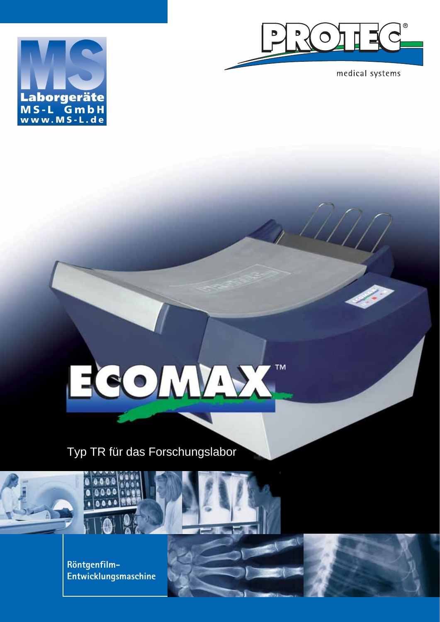

medical systems



# SOMAN TM

Typ TR für das Forschungslabor

**Röntgenfilm-Entwicklungsmaschine**

 $0.0.0$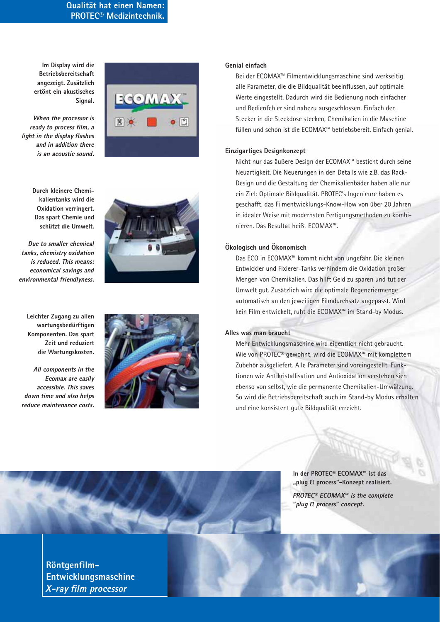# **Qualität hat einen Namen: PROTEC® Medizintechnik.**

**Im Display wird die Betriebsbereitschaft angezeigt. Zusätzlich ertönt ein akustisches Signal.**

*When the processor is ready to process film, a light in the display flashes and in addition there is an acoustic sound.*



**Durch kleinere Chemikalientanks wird die Oxidation verringert. Das spart Chemie und schützt die Umwelt.**

*Due to smaller chemical tanks, chemistry oxidation is reduced. This means: economical savings and environmental friendlyness.*

**Leichter Zugang zu allen wartungsbedürftigen Komponenten. Das spart Zeit und reduziert die Wartungskosten.**

*All components in the Ecomax are easily accessible. This saves down time and also helps reduce maintenance costs.*





# **Genial einfach**

Bei der ECOMAX™ Filmentwicklungsmaschine sind werkseitig alle Parameter, die die Bildqualität beeinflussen, auf optimale Werte eingestellt. Dadurch wird die Bedienung noch einfacher und Bedienfehler sind nahezu ausgeschlossen. Einfach den Stecker in die Steckdose stecken, Chemikalien in die Maschine füllen und schon ist die ECOMAX™ betriebsbereit. Einfach genial.

## **Einzigartiges Designkonzept**

Nicht nur das äußere Design der ECOMAX™ besticht durch seine Neuartigkeit. Die Neuerungen in den Details wie z.B. das Rack-Design und die Gestaltung der Chemikalienbäder haben alle nur ein Ziel: Optimale Bildqualität. PROTEC's Ingenieure haben es geschafft, das Filmentwicklungs-Know-How von über 20 Jahren in idealer Weise mit modernsten Fertigungsmethoden zu kombinieren. Das Resultat heißt ECOMAX™.

# **Ökologisch und Ökonomisch**

Das ECO in ECOMAX™ kommt nicht von ungefähr. Die kleinen Entwickler und Fixierer-Tanks verhindern die Oxidation großer Mengen von Chemikalien. Das hilft Geld zu sparen und tut der Umwelt gut. Zusätzlich wird die optimale Regeneriermenge automatisch an den jeweiligen Filmdurchsatz angepasst. Wird kein Film entwickelt, ruht die ECOMAX™ im Stand-by Modus.

#### **Alles was man braucht**

Mehr Entwicklungsmaschine wird eigentlich nicht gebraucht. Wie von PROTEC® gewohnt, wird die ECOMAX™ mit komplettem Zubehör ausgeliefert. Alle Parameter sind voreingestellt. Funktionen wie Antikristallisation und Antioxidation verstehen sich ebenso von selbst, wie die permanente Chemikalien-Umwälzung. So wird die Betriebsbereitschaft auch im Stand-by Modus erhalten und eine konsistent gute Bildqualität erreicht.



**Röntgenfilm-Entwicklungsmaschine** *X-ray film processor*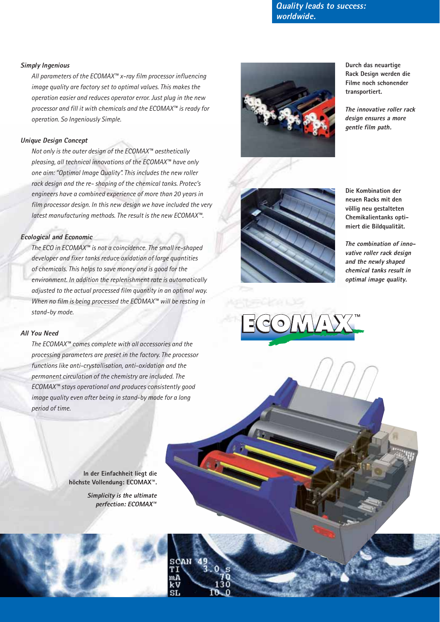*Quality leads to success: worldwide.*

# *Simply Ingenious*

*All parameters of the ECOMAX™ x-ray film processor influencing image quality are factory set to optimal values. This makes the operation easier and reduces operator error. Just plug in the new processor and fill it with chemicals and the ECOMAX™ is ready for operation. So Ingeniously Simple.*

# *Unique Design Concept*

*Not only is the outer design of the ECOMAX™ aesthetically pleasing, all technical innovations of the ECOMAX™ have only one aim: "Optimal Image Quality". This includes the new roller rack design and the re- shaping of the chemical tanks. Protec's engineers have a combined experience of more than 20 years in film processor design. In this new design we have included the very latest manufacturing methods. The result is the new ECOMAX™.*

# *Ecological and Economic*

*The ECO in ECOMAX™ is not a coincidence. The small re-shaped developer and fixer tanks reduce oxidation of large quantities of chemicals. This helps to save money and is good for the environment. In addition the replenishment rate is automatically adjusted to the actual processed film quantity in an optimal way. When no film is being processed the ECOMAX™ will be resting in stand-by mode.*

#### *All You Need*

*The ECOMAX™ comes complete with all accessories and the processing parameters are preset in the factory. The processor functions like anti-crystallisation, anti-oxidation and the permanent circulation of the chemistry are included. The ECOMAX™ stays operational and produces consistently good image quality even after being in stand-by mode for a long period of time.*

> **In der Einfachheit liegt die höchste Vollendung: ECOMAX™.** *Simplicity is the ultimate perfection: ECOMAX™*



**Durch das neuartige Rack Design werden die Filme noch schonender transportiert.**

*The innovative roller rack design ensures a more gentle film path.*



**Die Kombination der neuen Racks mit den völlig neu gestalteten Chemikalientanks optimiert die Bildqualität.**

*The combination of innovative roller rack design and the newly shaped chemical tanks result in optimal image quality.*